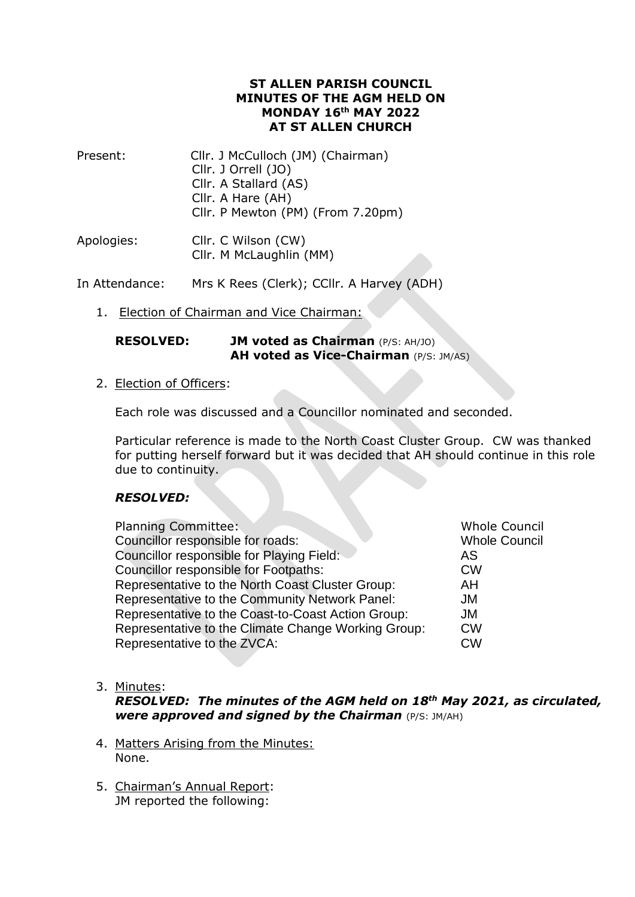#### **ST ALLEN PARISH COUNCIL MINUTES OF THE AGM HELD ON MONDAY 16th MAY 2022 AT ST ALLEN CHURCH**

| Present: | Cllr. J McCulloch (JM) (Chairman) |
|----------|-----------------------------------|
|          | Cllr. J Orrell (JO)               |
|          | Cllr. A Stallard (AS)             |
|          | Cllr. A Hare (AH)                 |
|          | Cllr. P Mewton (PM) (From 7.20pm) |
|          |                                   |

| Apologies: | Cllr. C Wilson (CW)     |
|------------|-------------------------|
|            | Cllr. M McLaughlin (MM) |

In Attendance: Mrs K Rees (Clerk); CCllr. A Harvey (ADH)

1. Election of Chairman and Vice Chairman:

**RESOLVED: JM voted as Chairman** (P/S: AH/JO) **AH voted as Vice-Chairman** (P/S: JM/AS)

2. Election of Officers:

Each role was discussed and a Councillor nominated and seconded.

Particular reference is made to the North Coast Cluster Group. CW was thanked for putting herself forward but it was decided that AH should continue in this role due to continuity.

# *RESOLVED:*

| <b>Planning Committee:</b>                          | <b>Whole Council</b> |
|-----------------------------------------------------|----------------------|
| Councillor responsible for roads:                   | <b>Whole Council</b> |
| Councillor responsible for Playing Field:           | AS                   |
| Councillor responsible for Footpaths:               | <b>CW</b>            |
| Representative to the North Coast Cluster Group:    | AH                   |
| Representative to the Community Network Panel:      | JM                   |
| Representative to the Coast-to-Coast Action Group:  | JM                   |
| Representative to the Climate Change Working Group: | <b>CW</b>            |
| Representative to the ZVCA:                         | <b>CW</b>            |
|                                                     |                      |

3. Minutes:

*RESOLVED: The minutes of the AGM held on 18th May 2021, as circulated, were approved and signed by the Chairman* (P/S: JM/AH)

- 4. Matters Arising from the Minutes: None.
- 5. Chairman's Annual Report: JM reported the following: